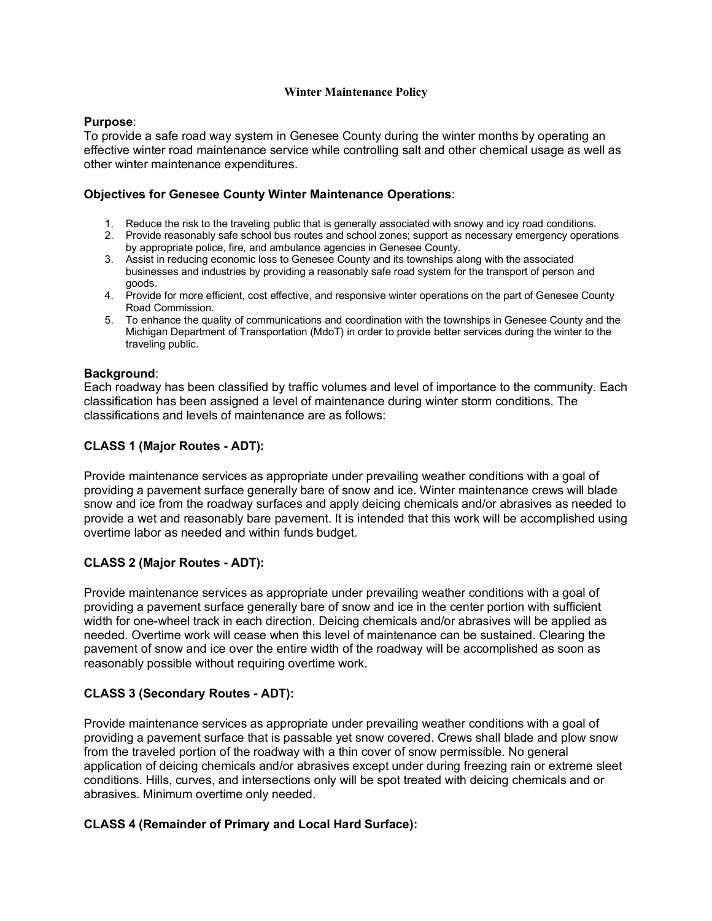## **Winter Maintenance Policy**

## **Purpose**:

To provide a safe road way system in Genesee County during the winter months by operating an effective winter road maintenance service while controlling salt and other chemical usage as well as other winter maintenance expenditures.

### **Objectives for Genesee County Winter Maintenance Operations**:

- 1. Reduce the risk to the traveling public that is generally associated with snowy and icy road conditions.
- 2. Provide reasonably safe school bus routes and school zones; support as necessary emergency operations by appropriate police, fire, and ambulance agencies in Genesee County.
- 3. Assist in reducing economic loss to Genesee County and its townships along with the associated businesses and industries by providing a reasonably safe road system for the transport of person and goods.
- 4. Provide for more efficient, cost effective, and responsive winter operations on the part of Genesee County Road Commission.
- 5. To enhance the quality of communications and coordination with the townships in Genesee County and the Michigan Department of Transportation (MdoT) in order to provide better services during the winter to the traveling public.

### **Background**:

Each roadway has been classified by traffic volumes and level of importance to the community. Each classification has been assigned a level of maintenance during winter storm conditions. The classifications and levels of maintenance are as follows:

## **CLASS 1 (Major Routes - ADT):**

Provide maintenance services as appropriate under prevailing weather conditions with a goal of providing a pavement surface generally bare of snow and ice. Winter maintenance crews will blade snow and ice from the roadway surfaces and apply deicing chemicals and/or abrasives as needed to provide a wet and reasonably bare pavement. It is intended that this work will be accomplished using overtime labor as needed and within funds budget.

## **CLASS 2 (Major Routes - ADT):**

Provide maintenance services as appropriate under prevailing weather conditions with a goal of providing a pavement surface generally bare of snow and ice in the center portion with sufficient width for one-wheel track in each direction. Deicing chemicals and/or abrasives will be applied as needed. Overtime work will cease when this level of maintenance can be sustained. Clearing the pavement of snow and ice over the entire width of the roadway will be accomplished as soon as reasonably possible without requiring overtime work.

## **CLASS 3 (Secondary Routes - ADT):**

Provide maintenance services as appropriate under prevailing weather conditions with a goal of providing a pavement surface that is passable yet snow covered. Crews shall blade and plow snow from the traveled portion of the roadway with a thin cover of snow permissible. No general application of deicing chemicals and/or abrasives except under during freezing rain or extreme sleet conditions. Hills, curves, and intersections only will be spot treated with deicing chemicals and or abrasives. Minimum overtime only needed.

## **CLASS 4 (Remainder of Primary and Local Hard Surface):**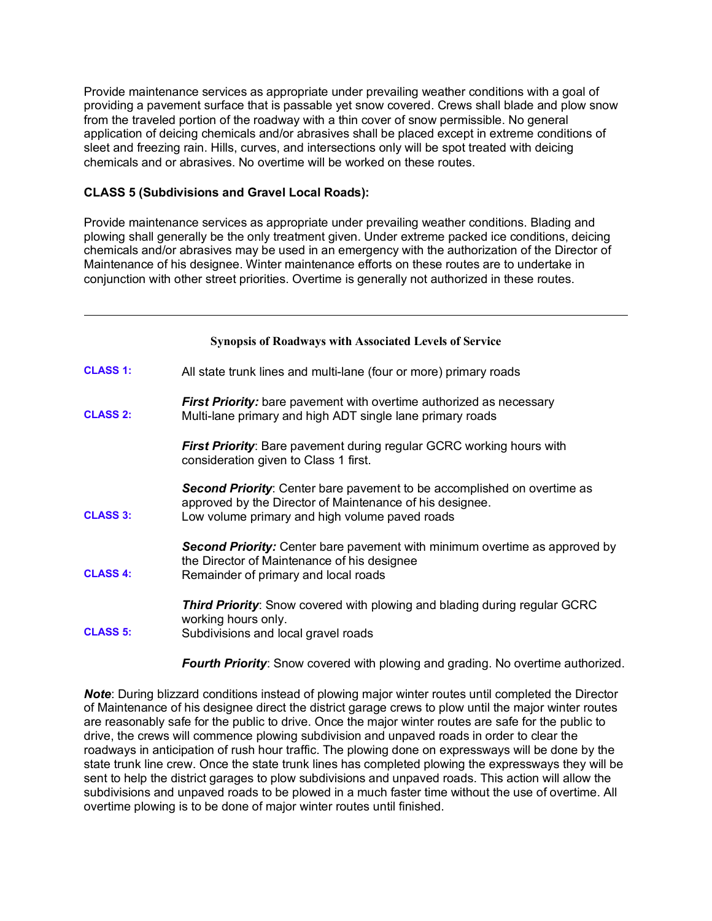Provide maintenance services as appropriate under prevailing weather conditions with a goal of providing a pavement surface that is passable yet snow covered. Crews shall blade and plow snow from the traveled portion of the roadway with a thin cover of snow permissible. No general application of deicing chemicals and/or abrasives shall be placed except in extreme conditions of sleet and freezing rain. Hills, curves, and intersections only will be spot treated with deicing chemicals and or abrasives. No overtime will be worked on these routes.

## **CLASS 5 (Subdivisions and Gravel Local Roads):**

Provide maintenance services as appropriate under prevailing weather conditions. Blading and plowing shall generally be the only treatment given. Under extreme packed ice conditions, deicing chemicals and/or abrasives may be used in an emergency with the authorization of the Director of Maintenance of his designee. Winter maintenance efforts on these routes are to undertake in conjunction with other street priorities. Overtime is generally not authorized in these routes.

| <b>Synopsis of Roadways with Associated Levels of Service</b> |                                                                                                                                                                                       |  |  |  |  |  |
|---------------------------------------------------------------|---------------------------------------------------------------------------------------------------------------------------------------------------------------------------------------|--|--|--|--|--|
| <b>CLASS 1:</b>                                               | All state trunk lines and multi-lane (four or more) primary roads                                                                                                                     |  |  |  |  |  |
| <b>CLASS 2:</b>                                               | <b>First Priority:</b> bare pavement with overtime authorized as necessary<br>Multi-lane primary and high ADT single lane primary roads                                               |  |  |  |  |  |
|                                                               | <b>First Priority:</b> Bare pavement during regular GCRC working hours with<br>consideration given to Class 1 first.                                                                  |  |  |  |  |  |
| <b>CLASS 3:</b>                                               | Second Priority: Center bare pavement to be accomplished on overtime as<br>approved by the Director of Maintenance of his designee.<br>Low volume primary and high volume paved roads |  |  |  |  |  |
| <b>CLASS 4:</b>                                               | <b>Second Priority:</b> Center bare pavement with minimum overtime as approved by<br>the Director of Maintenance of his designee<br>Remainder of primary and local roads              |  |  |  |  |  |
| <b>CLASS 5:</b>                                               | <b>Third Priority:</b> Snow covered with plowing and blading during regular GCRC<br>working hours only.<br>Subdivisions and local gravel roads                                        |  |  |  |  |  |

*Fourth Priority:* Snow covered with plowing and grading. No overtime authorized.

*Note*: During blizzard conditions instead of plowing major winter routes until completed the Director of Maintenance of his designee direct the district garage crews to plow until the major winter routes are reasonably safe for the public to drive. Once the major winter routes are safe for the public to drive, the crews will commence plowing subdivision and unpaved roads in order to clear the roadways in anticipation of rush hour traffic. The plowing done on expressways will be done by the state trunk line crew. Once the state trunk lines has completed plowing the expressways they will be sent to help the district garages to plow subdivisions and unpaved roads. This action will allow the subdivisions and unpaved roads to be plowed in a much faster time without the use of overtime. All overtime plowing is to be done of major winter routes until finished.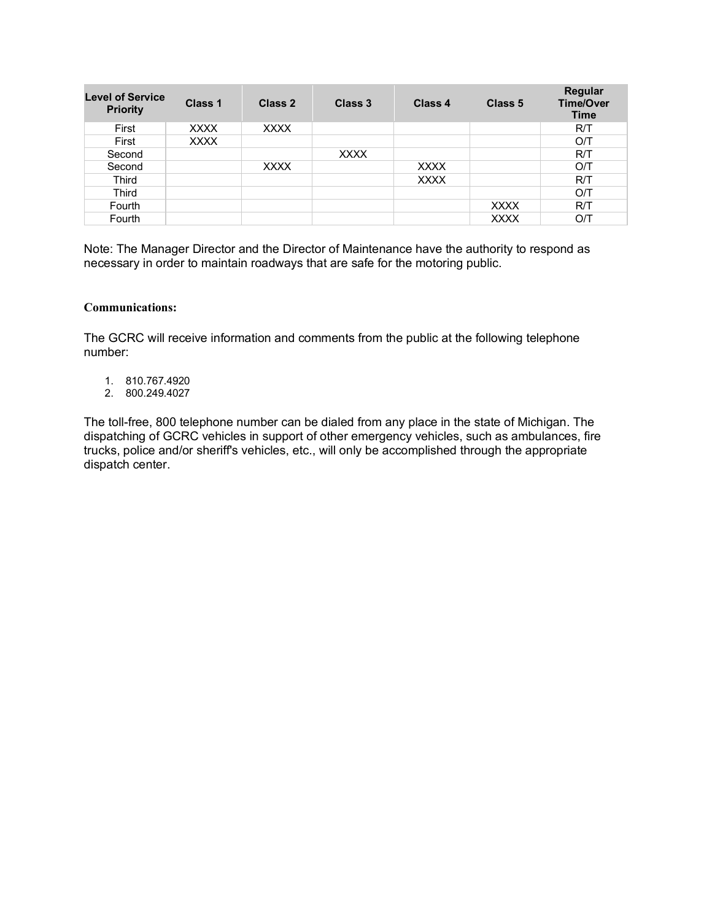| <b>Level of Service</b><br><b>Priority</b> | <b>Class 1</b> | Class 2     | Class 3     | Class 4     | Class <sub>5</sub> | Regular<br><b>Time/Over</b><br><b>Time</b> |
|--------------------------------------------|----------------|-------------|-------------|-------------|--------------------|--------------------------------------------|
| First                                      | <b>XXXX</b>    | <b>XXXX</b> |             |             |                    | R/T                                        |
| First                                      | <b>XXXX</b>    |             |             |             |                    | O/T                                        |
| Second                                     |                |             | <b>XXXX</b> |             |                    | R/T                                        |
| Second                                     |                | <b>XXXX</b> |             | <b>XXXX</b> |                    | O/T                                        |
| Third                                      |                |             |             | <b>XXXX</b> |                    | R/T                                        |
| Third                                      |                |             |             |             |                    | O/T                                        |
| Fourth                                     |                |             |             |             | <b>XXXX</b>        | R/T                                        |
| Fourth                                     |                |             |             |             | <b>XXXX</b>        | O/T                                        |

Note: The Manager Director and the Director of Maintenance have the authority to respond as necessary in order to maintain roadways that are safe for the motoring public.

### **Communications:**

The GCRC will receive information and comments from the public at the following telephone number:

- 1. 810.767.4920
- 2. 800.249.4027

The toll-free, 800 telephone number can be dialed from any place in the state of Michigan. The dispatching of GCRC vehicles in support of other emergency vehicles, such as ambulances, fire trucks, police and/or sheriff's vehicles, etc., will only be accomplished through the appropriate dispatch center.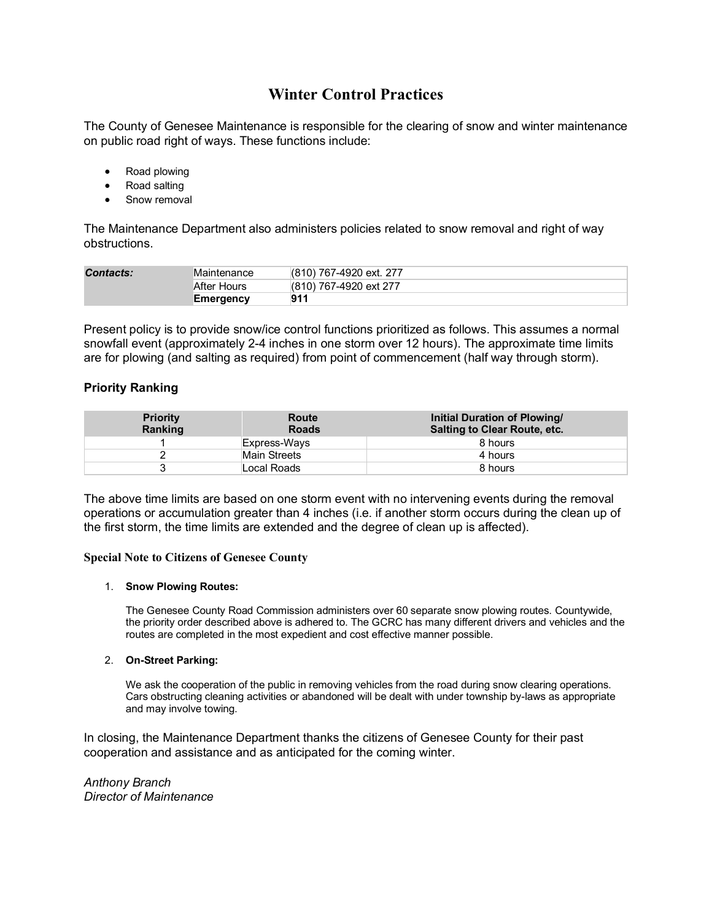# **Winter Control Practices**

The County of Genesee Maintenance is responsible for the clearing of snow and winter maintenance on public road right of ways. These functions include:

- Road plowing
- Road salting
- Snow removal

The Maintenance Department also administers policies related to snow removal and right of way obstructions.

| <b>Contacts:</b> | Maintenance      | (810) 767-4920 ext. 277 |
|------------------|------------------|-------------------------|
|                  | After Hours      | (810) 767-4920 ext 277  |
|                  | <b>Emergency</b> | 011                     |

Present policy is to provide snow/ice control functions prioritized as follows. This assumes a normal snowfall event (approximately 2-4 inches in one storm over 12 hours). The approximate time limits are for plowing (and salting as required) from point of commencement (half way through storm).

## **Priority Ranking**

| <b>Priority</b><br>Ranking | Route<br><b>Roads</b> | Initial Duration of Plowing/<br><b>Salting to Clear Route, etc.</b> |
|----------------------------|-----------------------|---------------------------------------------------------------------|
|                            | Express-Ways          | 8 hours                                                             |
|                            | <b>Main Streets</b>   | 4 hours                                                             |
|                            | Local Roads           | 8 hours                                                             |

The above time limits are based on one storm event with no intervening events during the removal operations or accumulation greater than 4 inches (i.e. if another storm occurs during the clean up of the first storm, the time limits are extended and the degree of clean up is affected).

### **Special Note to Citizens of Genesee County**

### 1. **Snow Plowing Routes:**

The Genesee County Road Commission administers over 60 separate snow plowing routes. Countywide, the priority order described above is adhered to. The GCRC has many different drivers and vehicles and the routes are completed in the most expedient and cost effective manner possible.

### 2. **On-Street Parking:**

We ask the cooperation of the public in removing vehicles from the road during snow clearing operations. Cars obstructing cleaning activities or abandoned will be dealt with under township by-laws as appropriate and may involve towing.

In closing, the Maintenance Department thanks the citizens of Genesee County for their past cooperation and assistance and as anticipated for the coming winter.

*Anthony Branch Director of Maintenance*